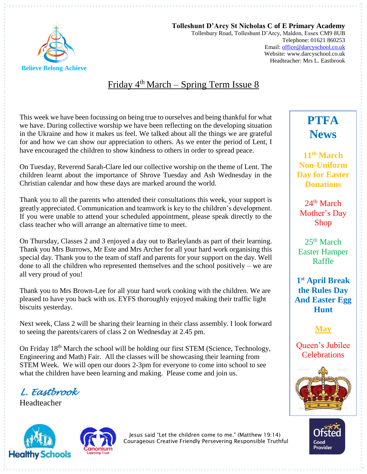

**Tolleshunt D'Arcy St Nicholas C of E Primary Academy** Tollesbury Road, Tolleshunt D'Arcy, Maldon, Essex CM9 8UB Telephone: 01621 860253 Email[: office@darcyschool.co.uk](mailto:office@darcyschool.co.uk) Website: www.darcyschool.co.uk Headteacher: Mrs L. Eastbrook

## Friday 4<sup>th</sup> March – Spring Term Issue 8

This week we have been focussing on being true to ourselves and being thankful for what we have. During collective worship we have been reflecting on the developing situation in the Ukraine and how it makes us feel. We talked about all the things we are grateful for and how we can show our appreciation to others. As we enter the period of Lent, I have encouraged the children to show kindness to others in order to spread peace.

On Tuesday, Reverend Sarah-Clare led our collective worship on the theme of Lent. The children learnt about the importance of Shrove Tuesday and Ash Wednesday in the Christian calendar and how these days are marked around the world.

Thank you to all the parents who attended their consultations this week, your support is greatly appreciated. Communication and teamwork is key to the children's development. If you were unable to attend your scheduled appointment, please speak directly to the class teacher who will arrange an alternative time to meet.

On Thursday, Classes 2 and 3 enjoyed a day out to Barleylands as part of their learning. Thank you Mrs Burrows, Mr Este and Mrs Archer for all your hard work organising this special day. Thank you to the team of staff and parents for your support on the day. Well done to all the children who represented themselves and the school positively – we are all very proud of you!

Thank you to Mrs Brown-Lee for all your hard work cooking with the children. We are pleased to have you back with us. EYFS thoroughly enjoyed making their traffic light biscuits yesterday.

Next week, Class 2 will be sharing their learning in their class assembly. I look forward to seeing the parents/carers of class 2 on Wednesday at 2.45 pm.

On Friday 18<sup>th</sup> March the school will be holding our first STEM (Science, Technology, Engineering and Math) Fair. All the classes will be showcasing their learning from STEM Week. We will open our doors 2-3pm for everyone to come into school to see what the children have been learning and making. Please come and join us.

*L. Eastbrook* 

Headteacher





Jesus said "Let the children come to me." (Matthew 19:14) Courageous Creative Friendly Persevering Responsible Truthful

# **PTFA News**

**11th March Non-Uniform Day for Easter Donations**

 $24<sup>th</sup>$  March Mother's Day Shop

 $25<sup>th</sup> March$ Easter Hamper Raffle

**1 st April Break the Rules Day And Easter Egg Hunt**

**May**

Queen's Jubilee **Celebrations**